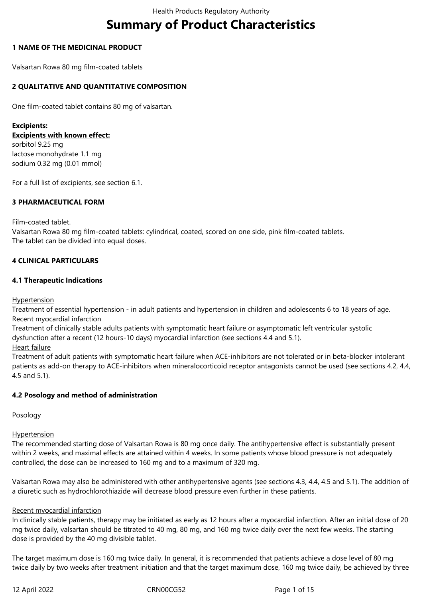# **Summary of Product Characteristics**

# **1 NAME OF THE MEDICINAL PRODUCT**

Valsartan Rowa 80 mg film-coated tablets

# **2 QUALITATIVE AND QUANTITATIVE COMPOSITION**

One film-coated tablet contains 80 mg of valsartan.

**Excipients: Excipients with known effect:** sorbitol 9.25 mg lactose monohydrate 1.1 mg sodium 0.32 mg (0.01 mmol)

For a full list of excipients, see section 6.1.

# **3 PHARMACEUTICAL FORM**

Film-coated tablet.

Valsartan Rowa 80 mg film-coated tablets: cylindrical, coated, scored on one side, pink film-coated tablets. The tablet can be divided into equal doses.

# **4 CLINICAL PARTICULARS**

# **4.1 Therapeutic Indications**

Hypertension

Treatment of essential hypertension - in adult patients and hypertension in children and adolescents 6 to 18 years of age. Recent myocardial infarction

Treatment of clinically stable adults patients with symptomatic heart failure or asymptomatic left ventricular systolic dysfunction after a recent (12 hours-10 days) myocardial infarction (see sections 4.4 and 5.1).

Heart failure

Treatment of adult patients with symptomatic heart failure when ACE-inhibitors are not tolerated or in beta-blocker intolerant patients as add-on therapy to ACE-inhibitors when mineralocorticoid receptor antagonists cannot be used (see sections 4.2, 4.4, 4.5 and 5.1).

# **4.2 Posology and method of administration**

#### Posology

#### **Hypertension**

The recommended starting dose of Valsartan Rowa is 80 mg once daily. The antihypertensive effect is substantially present within 2 weeks, and maximal effects are attained within 4 weeks. In some patients whose blood pressure is not adequately controlled, the dose can be increased to 160 mg and to a maximum of 320 mg.

Valsartan Rowa may also be administered with other antihypertensive agents (see sections 4.3, 4.4, 4.5 and 5.1). The addition of a diuretic such as hydrochlorothiazide will decrease blood pressure even further in these patients.

#### Recent myocardial infarction

In clinically stable patients, therapy may be initiated as early as 12 hours after a myocardial infarction. After an initial dose of 20 mg twice daily, valsartan should be titrated to 40 mg, 80 mg, and 160 mg twice daily over the next few weeks. The starting dose is provided by the 40 mg divisible tablet.

The target maximum dose is 160 mg twice daily. In general, it is recommended that patients achieve a dose level of 80 mg twice daily by two weeks after treatment initiation and that the target maximum dose, 160 mg twice daily, be achieved by three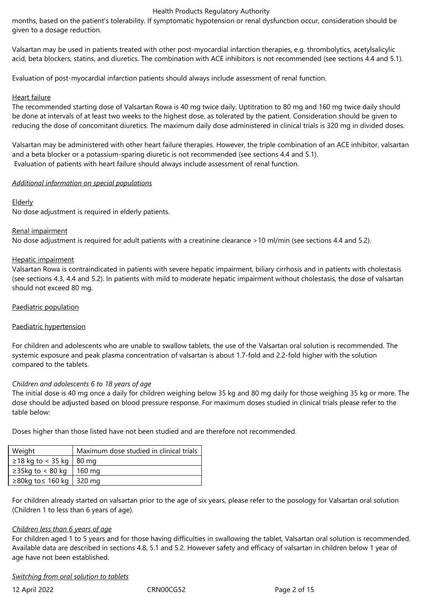months, based on the patient's tolerability. If symptomatic hypotension or renal dysfunction occur, consideration should be given to a dosage reduction.

Valsartan may be used in patients treated with other post-myocardial infarction therapies, e.g. thrombolytics, acetylsalicylic acid, beta blockers, statins, and diuretics. The combination with ACE inhibitors is not recommended (see sections 4.4 and 5.1).

Evaluation of post-myocardial infarction patients should always include assessment of renal function.

## Heart failure

The recommended starting dose of Valsartan Rowa is 40 mg twice daily. Uptitration to 80 mg and 160 mg twice daily should be done at intervals of at least two weeks to the highest dose, as tolerated by the patient. Consideration should be given to reducing the dose of concomitant diuretics. The maximum daily dose administered in clinical trials is 320 mg in divided doses.

Valsartan may be administered with other heart failure therapies. However, the triple combination of an ACE inhibitor, valsartan and a beta blocker or a potassium-sparing diuretic is not recommended (see sections 4.4 and 5.1). Evaluation of patients with heart failure should always include assessment of renal function.

# *Additional information on special populations*

# **Elderly**

No dose adjustment is required in elderly patients.

#### Renal impairment

No dose adjustment is required for adult patients with a creatinine clearance >10 ml/min (see sections 4.4 and 5.2).

# Hepatic impairment

Valsartan Rowa is contraindicated in patients with severe hepatic impairment, biliary cirrhosis and in patients with cholestasis (see sections 4.3, 4.4 and 5.2). In patients with mild to moderate hepatic impairment without cholestasis, the dose of valsartan should not exceed 80 mg.

### Paediatric population

#### Paediatric hypertension

For children and adolescents who are unable to swallow tablets, the use of the Valsartan oral solution is recommended. The systemic exposure and peak plasma concentration of valsartan is about 1.7-fold and 2.2-fold higher with the solution compared to the tablets.

#### *Children and adolescents 6 to 18 years of age*

The initial dose is 40 mg once a daily for children weighing below 35 kg and 80 mg daily for those weighing 35 kg or more. The dose should be adjusted based on blood pressure response. For maximum doses studied in clinical trials please refer to the table below:

Doses higher than those listed have not been studied and are therefore not recommended.

| Weight                          | Maximum dose studied in clinical trials |
|---------------------------------|-----------------------------------------|
| $\geq$ 18 kg to < 35 kg   80 mg |                                         |
| $\geq$ 35kg to < 80 kg   160 mg |                                         |
| ≥80kg to ≤ 160 kg   320 mg      |                                         |
|                                 |                                         |

For children already started on valsartan prior to the age of six years, please refer to the posology for Valsartan oral solution (Children 1 to less than 6 years of age).

# *Children less than 6 years of age*

For children aged 1 to 5 years and for those having difficulties in swallowing the tablet, Valsartan oral solution is recommended. Available data are described in sections 4.8, 5.1 and 5.2. However safety and efficacy of valsartan in children below 1 year of age have not been established.

#### *Switching from oral solution to tablets*

12 April 2022 CRN00CG52 Page 2 of 15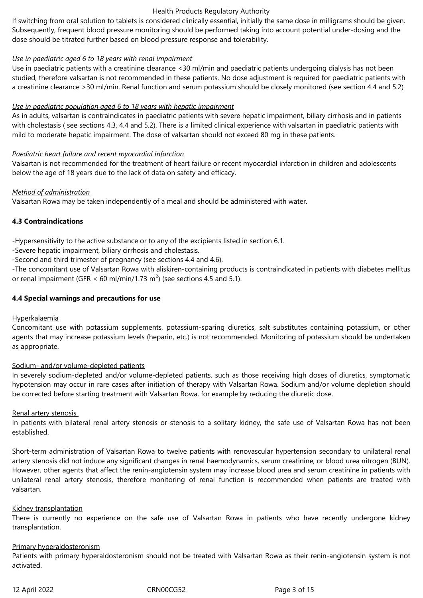If switching from oral solution to tablets is considered clinically essential, initially the same dose in milligrams should be given. Subsequently, frequent blood pressure monitoring should be performed taking into account potential under-dosing and the dose should be titrated further based on blood pressure response and tolerability.

## *Use in paediatric aged 6 to 18 years with renal impairment*

Use in paediatric patients with a creatinine clearance <30 ml/min and paediatric patients undergoing dialysis has not been studied, therefore valsartan is not recommended in these patients. No dose adjustment is required for paediatric patients with a creatinine clearance >30 ml/min. Renal function and serum potassium should be closely monitored (see section 4.4 and 5.2)

# *Use in paediatric population aged 6 to 18 years with hepatic impairment*

As in adults, valsartan is contraindicates in paediatric patients with severe hepatic impairment, biliary cirrhosis and in patients with cholestasis ( see sections 4.3, 4.4 and 5.2). There is a limited clinical experience with valsartan in paediatric patients with mild to moderate hepatic impairment. The dose of valsartan should not exceed 80 mg in these patients.

# *Paediatric heart failure and recent myocardial infarction*

Valsartan is not recommended for the treatment of heart failure or recent myocardial infarction in children and adolescents below the age of 18 years due to the lack of data on safety and efficacy.

# *Method of administration*

Valsartan Rowa may be taken independently of a meal and should be administered with water.

# **4.3 Contraindications**

-Hypersensitivity to the active substance or to any of the excipients listed in section 6.1.

-Severe hepatic impairment, biliary cirrhosis and cholestasis.

-Second and third trimester of pregnancy (see sections 4.4 and 4.6).

*-*The concomitant use of Valsartan Rowa with aliskiren-containing products is contraindicated in patients with diabetes mellitus or renal impairment (GFR < 60 ml/min/1.73 m<sup>2</sup>) (see sections 4.5 and 5.1).

# **4.4 Special warnings and precautions for use**

#### Hyperkalaemia

Concomitant use with potassium supplements, potassium-sparing diuretics, salt substitutes containing potassium, or other agents that may increase potassium levels (heparin, etc.) is not recommended. Monitoring of potassium should be undertaken as appropriate.

#### Sodium- and/or volume-depleted patients

In severely sodium-depleted and/or volume-depleted patients, such as those receiving high doses of diuretics, symptomatic hypotension may occur in rare cases after initiation of therapy with Valsartan Rowa. Sodium and/or volume depletion should be corrected before starting treatment with Valsartan Rowa, for example by reducing the diuretic dose.

#### Renal artery stenosis

In patients with bilateral renal artery stenosis or stenosis to a solitary kidney, the safe use of Valsartan Rowa has not been established.

Short-term administration of Valsartan Rowa to twelve patients with renovascular hypertension secondary to unilateral renal artery stenosis did not induce any significant changes in renal haemodynamics, serum creatinine, or blood urea nitrogen (BUN). However, other agents that affect the renin-angiotensin system may increase blood urea and serum creatinine in patients with unilateral renal artery stenosis, therefore monitoring of renal function is recommended when patients are treated with valsartan.

#### Kidney transplantation

There is currently no experience on the safe use of Valsartan Rowa in patients who have recently undergone kidney transplantation.

#### Primary hyperaldosteronism

Patients with primary hyperaldosteronism should not be treated with Valsartan Rowa as their renin-angiotensin system is not activated.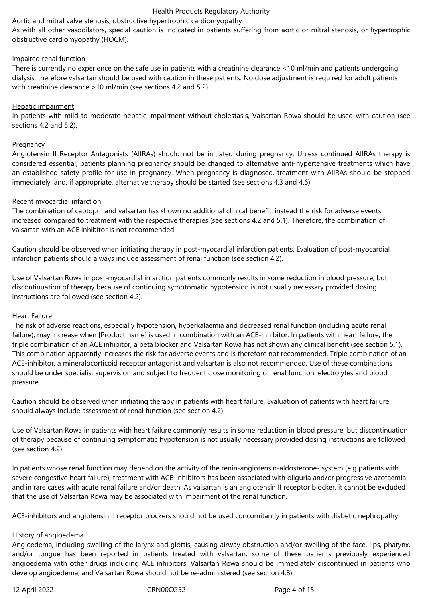#### Aortic and mitral valve stenosis, obstructive hypertrophic cardiomyopathy

As with all other vasodilators, special caution is indicated in patients suffering from aortic or mitral stenosis, or hypertrophic obstructive cardiomyopathy (HOCM).

#### Impaired renal function

There is currently no experience on the safe use in patients with a creatinine clearance <10 ml/min and patients undergoing dialysis, therefore valsartan should be used with caution in these patients. No dose adjustment is required for adult patients with creatinine clearance >10 ml/min (see sections 4.2 and 5.2).

#### Hepatic impairment

In patients with mild to moderate hepatic impairment without cholestasis, Valsartan Rowa should be used with caution (see sections 4.2 and 5.2).

#### **Pregnancy**

Angiotensin II Receptor Antagonists (AIIRAs) should not be initiated during pregnancy. Unless continued AIIRAs therapy is considered essential, patients planning pregnancy should be changed to alternative anti-hypertensive treatments which have an established safety profile for use in pregnancy. When pregnancy is diagnosed, treatment with AIIRAs should be stopped immediately, and, if appropriate, alternative therapy should be started (see sections 4.3 and 4.6).

#### Recent myocardial infarction

The combination of captopril and valsartan has shown no additional clinical benefit, instead the risk for adverse events increased compared to treatment with the respective therapies (see sections 4.2 and 5.1). Therefore, the combination of valsartan with an ACE inhibitor is not recommended.

Caution should be observed when initiating therapy in post-myocardial infarction patients. Evaluation of post-myocardial infarction patients should always include assessment of renal function (see section 4.2).

Use of Valsartan Rowa in post-myocardial infarction patients commonly results in some reduction in blood pressure, but discontinuation of therapy because of continuing symptomatic hypotension is not usually necessary provided dosing instructions are followed (see section 4.2).

#### Heart Failure

The risk of adverse reactions, especially hypotension, hyperkalaemia and decreased renal function (including acute renal failure), may increase when [Product name] is used in combination with an ACE-inhibitor. In patients with heart failure, the triple combination of an ACE inhibitor, a beta blocker and Valsartan Rowa has not shown any clinical benefit (see section 5.1). This combination apparently increases the risk for adverse events and is therefore not recommended. Triple combination of an ACE-inhibitor, a mineralocorticoid receptor antagonist and valsartan is also not recommended. Use of these combinations should be under specialist supervision and subject to frequent close monitoring of renal function, electrolytes and blood pressure.

Caution should be observed when initiating therapy in patients with heart failure. Evaluation of patients with heart failure should always include assessment of renal function (see section 4.2).

Use of Valsartan Rowa in patients with heart failure commonly results in some reduction in blood pressure, but discontinuation of therapy because of continuing symptomatic hypotension is not usually necessary provided dosing instructions are followed (see section 4.2).

In patients whose renal function may depend on the activity of the renin-angiotensin-aldosterone- system (e.g patients with severe congestive heart failure), treatment with ACE-inhibitors has been associated with oliguria and/or progressive azotaemia and in rare cases with acute renal failure and/or death. As valsartan is an angiotensin II receptor blocker, it cannot be excluded that the use of Valsartan Rowa may be associated with impairment of the renal function.

ACE-inhibitors and angiotensin II receptor blockers should not be used concomitantly in patients with diabetic nephropathy.

#### History of angioedema

Angioedema, including swelling of the larynx and glottis, causing airway obstruction and/or swelling of the face, lips, pharynx, and/or tongue has been reported in patients treated with valsartan; some of these patients previously experienced angioedema with other drugs including ACE inhibitors. Valsartan Rowa should be immediately discontinued in patients who develop angioedema, and Valsartan Rowa should not be re-administered (see section 4.8).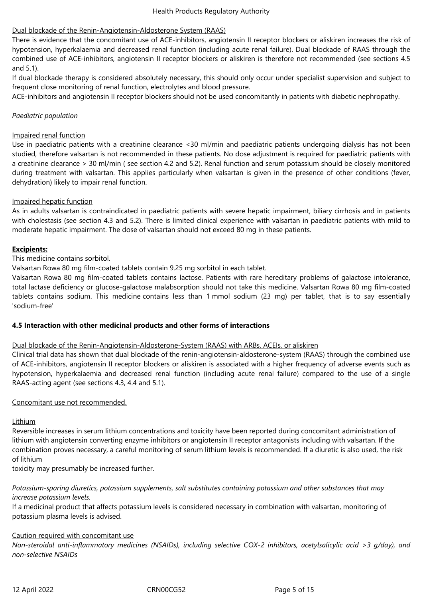# Dual blockade of the Renin-Angiotensin-Aldosterone System (RAAS)

There is evidence that the concomitant use of ACE-inhibitors, angiotensin II receptor blockers or aliskiren increases the risk of hypotension, hyperkalaemia and decreased renal function (including acute renal failure). Dual blockade of RAAS through the combined use of ACE-inhibitors, angiotensin II receptor blockers or aliskiren is therefore not recommended (see sections 4.5 and 5.1).

If dual blockade therapy is considered absolutely necessary, this should only occur under specialist supervision and subject to frequent close monitoring of renal function, electrolytes and blood pressure.

ACE-inhibitors and angiotensin II receptor blockers should not be used concomitantly in patients with diabetic nephropathy.

## *Paediatric population*

## Impaired renal function

Use in paediatric patients with a creatinine clearance <30 ml/min and paediatric patients undergoing dialysis has not been studied, therefore valsartan is not recommended in these patients. No dose adjustment is required for paediatric patients with a creatinine clearance > 30 ml/min ( see section 4.2 and 5.2). Renal function and serum potassium should be closely monitored during treatment with valsartan. This applies particularly when valsartan is given in the presence of other conditions (fever, dehydration) likely to impair renal function.

# Impaired hepatic function

As in adults valsartan is contraindicated in paediatric patients with severe hepatic impairment, biliary cirrhosis and in patients with cholestasis (see section 4.3 and 5.2). There is limited clinical experience with valsartan in paediatric patients with mild to moderate hepatic impairment. The dose of valsartan should not exceed 80 mg in these patients.

# **Excipients:**

# This medicine contains sorbitol.

Valsartan Rowa 80 mg film-coated tablets contain 9.25 mg sorbitol in each tablet.

Valsartan Rowa 80 mg film-coated tablets contains lactose. Patients with rare hereditary problems of galactose intolerance, total lactase deficiency or glucose-galactose malabsorption should not take this medicine. Valsartan Rowa 80 mg film-coated tablets contains sodium. This medicine contains less than 1 mmol sodium (23 mg) per tablet, that is to say essentially 'sodium-free'

#### **4.5 Interaction with other medicinal products and other forms of interactions**

#### Dual blockade of the Renin-Angiotensin-Aldosterone-System (RAAS) with ARBs, ACEIs, or aliskiren

Clinical trial data has shown that dual blockade of the renin-angiotensin-aldosterone-system (RAAS) through the combined use of ACE-inhibitors, angiotensin II receptor blockers or aliskiren is associated with a higher frequency of adverse events such as hypotension, hyperkalaemia and decreased renal function (including acute renal failure) compared to the use of a single RAAS-acting agent (see sections 4.3, 4.4 and 5.1)*.*

#### Concomitant use not recommended.

#### Lithium

Reversible increases in serum lithium concentrations and toxicity have been reported during concomitant administration of lithium with angiotensin converting enzyme inhibitors or angiotensin II receptor antagonists including with valsartan. If the combination proves necessary, a careful monitoring of serum lithium levels is recommended. If a diuretic is also used, the risk of lithium

toxicity may presumably be increased further.

# *Potassium-sparing diuretics, potassium supplements, salt substitutes containing potassium and other substances that may increase potassium levels.*

If a medicinal product that affects potassium levels is considered necessary in combination with valsartan, monitoring of potassium plasma levels is advised.

#### Caution required with concomitant use

*Non-steroidal anti-inflammatory medicines (NSAIDs), including selective COX-2 inhibitors, acetylsalicylic acid >3 g/day), and non-selective NSAIDs*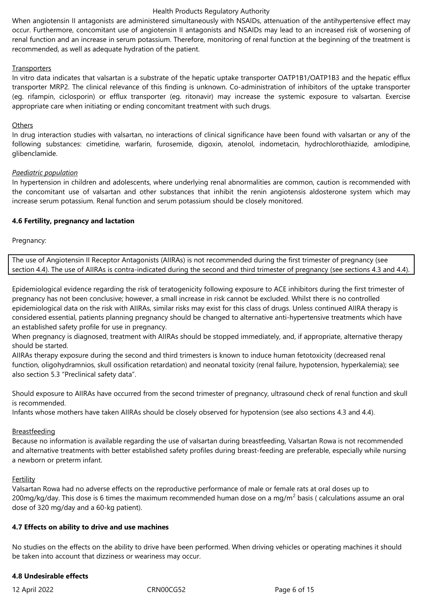When angiotensin II antagonists are administered simultaneously with NSAIDs, attenuation of the antihypertensive effect may occur. Furthermore, concomitant use of angiotensin II antagonists and NSAIDs may lead to an increased risk of worsening of renal function and an increase in serum potassium. Therefore, monitoring of renal function at the beginning of the treatment is recommended, as well as adequate hydration of the patient.

#### **Transporters**

In vitro data indicates that valsartan is a substrate of the hepatic uptake transporter OATP1B1/OATP1B3 and the hepatic efflux transporter MRP2. The clinical relevance of this finding is unknown. Co-administration of inhibitors of the uptake transporter (eg. rifampin, ciclosporin) or efflux transporter (eg. ritonavir) may increase the systemic exposure to valsartan. Exercise appropriate care when initiating or ending concomitant treatment with such drugs.

#### **Others**

In drug interaction studies with valsartan, no interactions of clinical significance have been found with valsartan or any of the following substances: cimetidine, warfarin, furosemide, digoxin, atenolol, indometacin, hydrochlorothiazide, amlodipine, glibenclamide.

#### *Paediatric population*

In hypertension in children and adolescents, where underlying renal abnormalities are common, caution is recommended with the concomitant use of valsartan and other substances that inhibit the renin angiotensis aldosterone system which may increase serum potassium. Renal function and serum potassium should be closely monitored.

#### **4.6 Fertility, pregnancy and lactation**

Pregnancy:

The use of Angiotensin II Receptor Antagonists (AIIRAs) is not recommended during the first trimester of pregnancy (see section 4.4). The use of AIIRAs is contra-indicated during the second and third trimester of pregnancy (see sections 4.3 and 4.4).

Epidemiological evidence regarding the risk of teratogenicity following exposure to ACE inhibitors during the first trimester of pregnancy has not been conclusive; however, a small increase in risk cannot be excluded. Whilst there is no controlled epidemiological data on the risk with AIIRAs, similar risks may exist for this class of drugs. Unless continued AIIRA therapy is considered essential, patients planning pregnancy should be changed to alternative anti-hypertensive treatments which have an established safety profile for use in pregnancy.

When pregnancy is diagnosed, treatment with AIIRAs should be stopped immediately, and, if appropriate, alternative therapy should be started.

AIIRAs therapy exposure during the second and third trimesters is known to induce human fetotoxicity (decreased renal function, oligohydramnios, skull ossification retardation) and neonatal toxicity (renal failure, hypotension, hyperkalemia); see also section 5.3 "Preclinical safety data".

Should exposure to AIIRAs have occurred from the second trimester of pregnancy, ultrasound check of renal function and skull is recommended.

Infants whose mothers have taken AIIRAs should be closely observed for hypotension (see also sections 4.3 and 4.4).

#### Breastfeeding

Because no information is available regarding the use of valsartan during breastfeeding, Valsartan Rowa is not recommended and alternative treatments with better established safety profiles during breast-feeding are preferable, especially while nursing a newborn or preterm infant.

#### Fertility

Valsartan Rowa had no adverse effects on the reproductive performance of male or female rats at oral doses up to 200mg/kg/day. This dose is 6 times the maximum recommended human dose on a mg/m<sup>2</sup> basis ( calculations assume an oral dose of 320 mg/day and a 60-kg patient).

#### **4.7 Effects on ability to drive and use machines**

No studies on the effects on the ability to drive have been performed. When driving vehicles or operating machines it should be taken into account that dizziness or weariness may occur.

#### **4.8 Undesirable effects**

12 April 2022 CRN00CG52 Page 6 of 15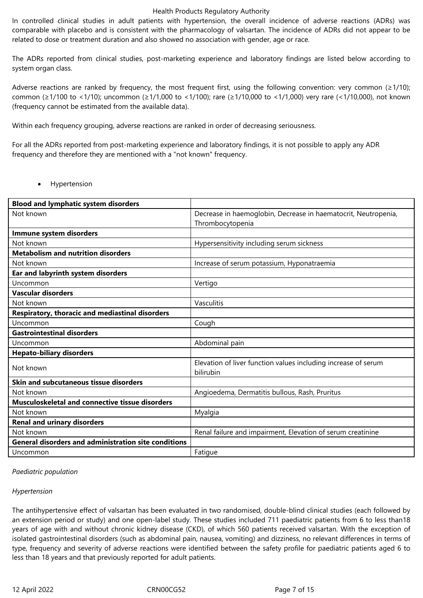In controlled clinical studies in adult patients with hypertension, the overall incidence of adverse reactions (ADRs) was comparable with placebo and is consistent with the pharmacology of valsartan. The incidence of ADRs did not appear to be related to dose or treatment duration and also showed no association with gender, age or race.

The ADRs reported from clinical studies, post-marketing experience and laboratory findings are listed below according to system organ class.

Adverse reactions are ranked by frequency, the most frequent first, using the following convention: very common ( $\geq 1/10$ ); common (≥1/100 to <1/10); uncommon (≥1/1,000 to <1/100); rare (≥1/10,000 to <1/1,000) very rare (<1/10,000), not known (frequency cannot be estimated from the available data).

Within each frequency grouping, adverse reactions are ranked in order of decreasing seriousness.

For all the ADRs reported from post-marketing experience and laboratory findings, it is not possible to apply any ADR frequency and therefore they are mentioned with a "not known" frequency.

Hypertension

| <b>Blood and lymphatic system disorders</b>                 |                                                                             |
|-------------------------------------------------------------|-----------------------------------------------------------------------------|
| Not known                                                   | Decrease in haemoglobin, Decrease in haematocrit, Neutropenia,              |
|                                                             | Thrombocytopenia                                                            |
| Immune system disorders                                     |                                                                             |
| Not known                                                   | Hypersensitivity including serum sickness                                   |
| <b>Metabolism and nutrition disorders</b>                   |                                                                             |
| Not known                                                   | Increase of serum potassium, Hyponatraemia                                  |
| Ear and labyrinth system disorders                          |                                                                             |
| Uncommon                                                    | Vertigo                                                                     |
| <b>Vascular disorders</b>                                   |                                                                             |
| Not known                                                   | Vasculitis                                                                  |
| Respiratory, thoracic and mediastinal disorders             |                                                                             |
| Uncommon                                                    | Cough                                                                       |
| <b>Gastrointestinal disorders</b>                           |                                                                             |
| Uncommon                                                    | Abdominal pain                                                              |
| <b>Hepato-biliary disorders</b>                             |                                                                             |
| Not known                                                   | Elevation of liver function values including increase of serum<br>bilirubin |
| Skin and subcutaneous tissue disorders                      |                                                                             |
| Not known                                                   | Angioedema, Dermatitis bullous, Rash, Pruritus                              |
| Musculoskeletal and connective tissue disorders             |                                                                             |
|                                                             |                                                                             |
| Not known                                                   | Myalgia                                                                     |
| <b>Renal and urinary disorders</b>                          |                                                                             |
| Not known                                                   | Renal failure and impairment, Elevation of serum creatinine                 |
| <b>General disorders and administration site conditions</b> |                                                                             |
| Uncommon                                                    | Fatigue                                                                     |

#### *Paediatric population*

#### *Hypertension*

The antihypertensive effect of valsartan has been evaluated in two randomised, double-blind clinical studies (each followed by an extension period or study) and one open-label study. These studies included 711 paediatric patients from 6 to less than18 years of age with and without chronic kidney disease (CKD), of which 560 patients received valsartan. With the exception of isolated gastrointestinal disorders (such as abdominal pain, nausea, vomiting) and dizziness, no relevant differences in terms of type, frequency and severity of adverse reactions were identified between the safety profile for paediatric patients aged 6 to less than 18 years and that previously reported for adult patients.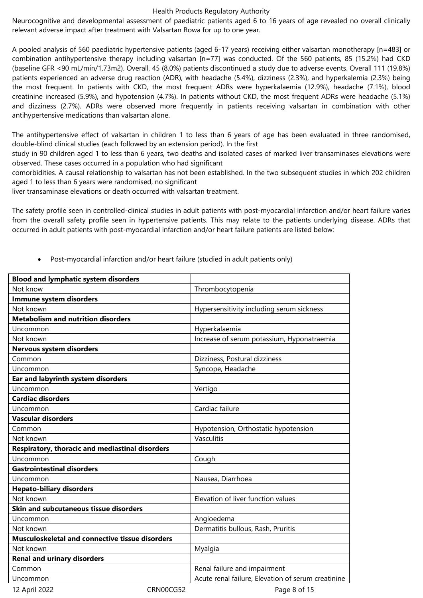Neurocognitive and developmental assessment of paediatric patients aged 6 to 16 years of age revealed no overall clinically relevant adverse impact after treatment with Valsartan Rowa for up to one year.

A pooled analysis of 560 paediatric hypertensive patients (aged 6-17 years) receiving either valsartan monotherapy [n=483] or combination antihypertensive therapy including valsartan [n=77] was conducted. Of the 560 patients, 85 (15.2%) had CKD (baseline GFR <90 mL/min/1.73m2). Overall, 45 (8.0%) patients discontinued a study due to adverse events. Overall 111 (19.8%) patients experienced an adverse drug reaction (ADR), with headache (5.4%), dizziness (2.3%), and hyperkalemia (2.3%) being the most frequent. In patients with CKD, the most frequent ADRs were hyperkalaemia (12.9%), headache (7.1%), blood creatinine increased (5.9%), and hypotension (4.7%). In patients without CKD, the most frequent ADRs were headache (5.1%) and dizziness (2.7%). ADRs were observed more frequently in patients receiving valsartan in combination with other antihypertensive medications than valsartan alone.

The antihypertensive effect of valsartan in children 1 to less than 6 years of age has been evaluated in three randomised, double-blind clinical studies (each followed by an extension period). In the first

study in 90 children aged 1 to less than 6 years, two deaths and isolated cases of marked liver transaminases elevations were observed. These cases occurred in a population who had significant

comorbidities. A causal relationship to valsartan has not been established. In the two subsequent studies in which 202 children aged 1 to less than 6 years were randomised, no significant

liver transaminase elevations or death occurred with valsartan treatment.

The safety profile seen in controlled-clinical studies in adult patients with post-myocardial infarction and/or heart failure varies from the overall safety profile seen in hypertensive patients. This may relate to the patients underlying disease. ADRs that occurred in adult patients with post-myocardial infarction and/or heart failure patients are listed below:

| <b>Blood and lymphatic system disorders</b>            |           |                                                    |
|--------------------------------------------------------|-----------|----------------------------------------------------|
| Not know                                               |           | Thrombocytopenia                                   |
| Immune system disorders                                |           |                                                    |
| Not known                                              |           | Hypersensitivity including serum sickness          |
| <b>Metabolism and nutrition disorders</b>              |           |                                                    |
| Uncommon                                               |           | Hyperkalaemia                                      |
| Not known                                              |           | Increase of serum potassium, Hyponatraemia         |
| Nervous system disorders                               |           |                                                    |
| Common                                                 |           | Dizziness, Postural dizziness                      |
| Uncommon                                               |           | Syncope, Headache                                  |
| Ear and labyrinth system disorders                     |           |                                                    |
| Uncommon                                               |           | Vertigo                                            |
| <b>Cardiac disorders</b>                               |           |                                                    |
| Uncommon                                               |           | Cardiac failure                                    |
| <b>Vascular disorders</b>                              |           |                                                    |
| Common                                                 |           | Hypotension, Orthostatic hypotension               |
| Not known                                              |           | Vasculitis                                         |
| Respiratory, thoracic and mediastinal disorders        |           |                                                    |
| Uncommon                                               |           | Cough                                              |
| <b>Gastrointestinal disorders</b>                      |           |                                                    |
| Uncommon                                               |           | Nausea, Diarrhoea                                  |
| <b>Hepato-biliary disorders</b>                        |           |                                                    |
| Not known                                              |           | Elevation of liver function values                 |
| Skin and subcutaneous tissue disorders                 |           |                                                    |
| Uncommon                                               |           | Angioedema                                         |
| Not known                                              |           | Dermatitis bullous, Rash, Pruritis                 |
| <b>Musculoskeletal and connective tissue disorders</b> |           |                                                    |
| Not known                                              |           | Myalgia                                            |
| <b>Renal and urinary disorders</b>                     |           |                                                    |
| Common                                                 |           | Renal failure and impairment                       |
| Uncommon                                               |           | Acute renal failure, Elevation of serum creatinine |
| 12 April 2022                                          | CRN00CG52 | Page 8 of 15                                       |

Post-myocardial infarction and/or heart failure (studied in adult patients only)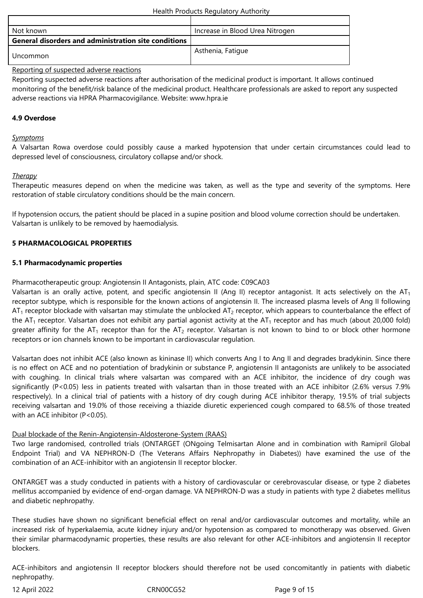| Not known                                                   | Increase in Blood Urea Nitrogen |
|-------------------------------------------------------------|---------------------------------|
| <b>General disorders and administration site conditions</b> |                                 |
| Uncommon                                                    | Asthenia, Fatique               |

Reporting of suspected adverse reactions

Reporting suspected adverse reactions after authorisation of the medicinal product is important. It allows continued monitoring of the benefit/risk balance of the medicinal product. Healthcare professionals are asked to report any suspected adverse reactions via HPRA Pharmacovigilance. Website: www.hpra.ie

# **4.9 Overdose**

#### *Symptoms*

A Valsartan Rowa overdose could possibly cause a marked hypotension that under certain circumstances could lead to depressed level of consciousness, circulatory collapse and/or shock.

#### *Therapy*

Therapeutic measures depend on when the medicine was taken, as well as the type and severity of the symptoms. Here restoration of stable circulatory conditions should be the main concern.

If hypotension occurs, the patient should be placed in a supine position and blood volume correction should be undertaken. Valsartan is unlikely to be removed by haemodialysis.

#### **5 PHARMACOLOGICAL PROPERTIES**

#### **5.1 Pharmacodynamic properties**

Pharmacotherapeutic group: Angiotensin II Antagonists, plain, ATC code: C09CA03

Valsartan is an orally active, potent, and specific angiotensin II (Ang II) receptor antagonist. It acts selectively on the  $AT<sub>1</sub>$ receptor subtype, which is responsible for the known actions of angiotensin II. The increased plasma levels of Ang II following  $AT_1$  receptor blockade with valsartan may stimulate the unblocked  $AT_2$  receptor, which appears to counterbalance the effect of the AT<sub>1</sub> receptor. Valsartan does not exhibit any partial agonist activity at the AT<sub>1</sub> receptor and has much (about 20,000 fold) greater affinity for the AT<sub>1</sub> receptor than for the AT<sub>2</sub> receptor. Valsartan is not known to bind to or block other hormone receptors or ion channels known to be important in cardiovascular regulation.

Valsartan does not inhibit ACE (also known as kininase II) which converts Ang I to Ang II and degrades bradykinin. Since there is no effect on ACE and no potentiation of bradykinin or substance P, angiotensin II antagonists are unlikely to be associated with coughing. In clinical trials where valsartan was compared with an ACE inhibitor, the incidence of dry cough was significantly (P<0.05) less in patients treated with valsartan than in those treated with an ACE inhibitor (2.6% versus 7.9% respectively). In a clinical trial of patients with a history of dry cough during ACE inhibitor therapy, 19.5% of trial subjects receiving valsartan and 19.0% of those receiving a thiazide diuretic experienced cough compared to 68.5% of those treated with an ACE inhibitor (P<0.05).

#### Dual blockade of the Renin-Angiotensin-Aldosterone-System (RAAS)

Two large randomised, controlled trials (ONTARGET (ONgoing Telmisartan Alone and in combination with Ramipril Global Endpoint Trial) and VA NEPHRON-D (The Veterans Affairs Nephropathy in Diabetes)) have examined the use of the combination of an ACE-inhibitor with an angiotensin II receptor blocker.

ONTARGET was a study conducted in patients with a history of cardiovascular or cerebrovascular disease, or type 2 diabetes mellitus accompanied by evidence of end-organ damage. VA NEPHRON-D was a study in patients with type 2 diabetes mellitus and diabetic nephropathy.

These studies have shown no significant beneficial effect on renal and/or cardiovascular outcomes and mortality, while an increased risk of hyperkalaemia, acute kidney injury and/or hypotension as compared to monotherapy was observed. Given their similar pharmacodynamic properties, these results are also relevant for other ACE-inhibitors and angiotensin II receptor blockers.

ACE-inhibitors and angiotensin II receptor blockers should therefore not be used concomitantly in patients with diabetic nephropathy.

12 April 2022 CRN00CG52 Page 9 of 15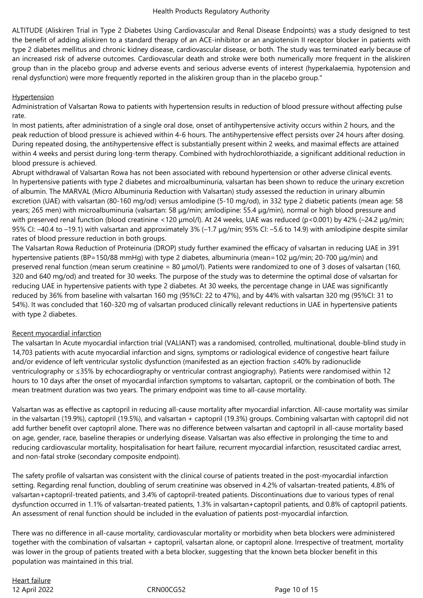ALTITUDE (Aliskiren Trial in Type 2 Diabetes Using Cardiovascular and Renal Disease Endpoints) was a study designed to test the benefit of adding aliskiren to a standard therapy of an ACE-inhibitor or an angiotensin II receptor blocker in patients with type 2 diabetes mellitus and chronic kidney disease, cardiovascular disease, or both. The study was terminated early because of an increased risk of adverse outcomes. Cardiovascular death and stroke were both numerically more frequent in the aliskiren group than in the placebo group and adverse events and serious adverse events of interest (hyperkalaemia, hypotension and renal dysfunction) were more frequently reported in the aliskiren group than in the placebo group."

# **Hypertension**

Administration of Valsartan Rowa to patients with hypertension results in reduction of blood pressure without affecting pulse rate.

In most patients, after administration of a single oral dose, onset of antihypertensive activity occurs within 2 hours, and the peak reduction of blood pressure is achieved within 4-6 hours. The antihypertensive effect persists over 24 hours after dosing. During repeated dosing, the antihypertensive effect is substantially present within 2 weeks, and maximal effects are attained within 4 weeks and persist during long-term therapy. Combined with hydrochlorothiazide, a significant additional reduction in blood pressure is achieved.

Abrupt withdrawal of Valsartan Rowa has not been associated with rebound hypertension or other adverse clinical events. In hypertensive patients with type 2 diabetes and microalbuminuria, valsartan has been shown to reduce the urinary excretion of albumin. The MARVAL (Micro Albuminuria Reduction with Valsartan) study assessed the reduction in urinary albumin excretion (UAE) with valsartan (80-160 mg/od) versus amlodipine (5-10 mg/od), in 332 type 2 diabetic patients (mean age: 58 years; 265 men) with microalbuminuria (valsartan: 58 μg/min; amlodipine: 55.4 μg/min), normal or high blood pressure and with preserved renal function (blood creatinine <120 μmol/l). At 24 weeks, UAE was reduced (p<0.001) by 42% (-24.2 μg/min; 95% CI: –40.4 to –19.1) with valsartan and approximately 3% (–1.7 μg/min; 95% CI: –5.6 to 14.9) with amlodipine despite similar rates of blood pressure reduction in both groups.

The Valsartan Rowa Reduction of Proteinuria (DROP) study further examined the efficacy of valsartan in reducing UAE in 391 hypertensive patients (BP=150/88 mmHg) with type 2 diabetes, albuminuria (mean=102 μg/min; 20-700 μg/min) and preserved renal function (mean serum creatinine = 80 μmol/l). Patients were randomized to one of 3 doses of valsartan (160, 320 and 640 mg/od) and treated for 30 weeks. The purpose of the study was to determine the optimal dose of valsartan for reducing UAE in hypertensive patients with type 2 diabetes. At 30 weeks, the percentage change in UAE was significantly reduced by 36% from baseline with valsartan 160 mg (95%CI: 22 to 47%), and by 44% with valsartan 320 mg (95%CI: 31 to 54%). It was concluded that 160-320 mg of valsartan produced clinically relevant reductions in UAE in hypertensive patients with type 2 diabetes.

# Recent myocardial infarction

The valsartan In Acute myocardial infarction trial (VALIANT) was a randomised, controlled, multinational, double-blind study in 14,703 patients with acute myocardial infarction and signs, symptoms or radiological evidence of congestive heart failure and/or evidence of left ventricular systolic dysfunction (manifested as an ejection fraction ≤40% by radionuclide ventriculography or ≤35% by echocardiography or ventricular contrast angiography). Patients were randomised within 12 hours to 10 days after the onset of myocardial infarction symptoms to valsartan, captopril, or the combination of both. The mean treatment duration was two years. The primary endpoint was time to all-cause mortality.

Valsartan was as effective as captopril in reducing all-cause mortality after myocardial infarction. All-cause mortality was similar in the valsartan (19.9%), captopril (19.5%), and valsartan + captopril (19.3%) groups. Combining valsartan with captopril did not add further benefit over captopril alone. There was no difference between valsartan and captopril in all-cause mortality based on age, gender, race, baseline therapies or underlying disease. Valsartan was also effective in prolonging the time to and reducing cardiovascular mortality, hospitalisation for heart failure, recurrent myocardial infarction, resuscitated cardiac arrest, and non-fatal stroke (secondary composite endpoint).

The safety profile of valsartan was consistent with the clinical course of patients treated in the post-myocardial infarction setting. Regarding renal function, doubling of serum creatinine was observed in 4.2% of valsartan-treated patients, 4.8% of valsartan+captopril-treated patients, and 3.4% of captopril-treated patients. Discontinuations due to various types of renal dysfunction occurred in 1.1% of valsartan-treated patients, 1.3% in valsartan+captopril patients, and 0.8% of captopril patients. An assessment of renal function should be included in the evaluation of patients post-myocardial infarction.

There was no difference in all-cause mortality, cardiovascular mortality or morbidity when beta blockers were administered together with the combination of valsartan + captopril, valsartan alone, or captopril alone. Irrespective of treatment, mortality was lower in the group of patients treated with a beta blocker, suggesting that the known beta blocker benefit in this population was maintained in this trial.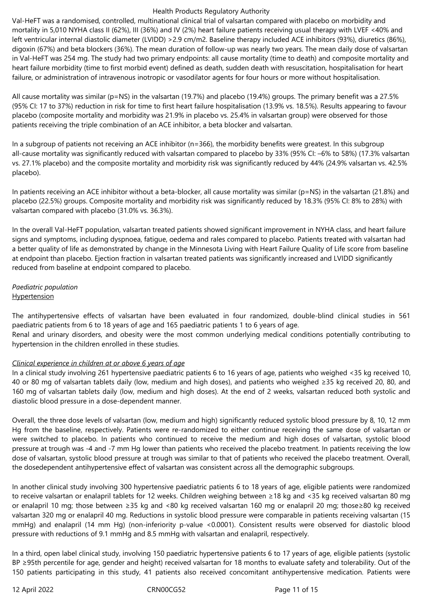Val-HeFT was a randomised, controlled, multinational clinical trial of valsartan compared with placebo on morbidity and mortality in 5,010 NYHA class II (62%), III (36%) and IV (2%) heart failure patients receiving usual therapy with LVEF <40% and left ventricular internal diastolic diameter (LVIDD) >2.9 cm/m2. Baseline therapy included ACE inhibitors (93%), diuretics (86%), digoxin (67%) and beta blockers (36%). The mean duration of follow-up was nearly two years. The mean daily dose of valsartan in Val-HeFT was 254 mg. The study had two primary endpoints: all cause mortality (time to death) and composite mortality and heart failure morbidity (time to first morbid event) defined as death, sudden death with resuscitation, hospitalisation for heart failure, or administration of intravenous inotropic or vasodilator agents for four hours or more without hospitalisation.

All cause mortality was similar ( $p=NS$ ) in the valsartan (19.7%) and placebo (19.4%) groups. The primary benefit was a 27.5% (95% CI: 17 to 37%) reduction in risk for time to first heart failure hospitalisation (13.9% vs. 18.5%). Results appearing to favour placebo (composite mortality and morbidity was 21.9% in placebo vs. 25.4% in valsartan group) were observed for those patients receiving the triple combination of an ACE inhibitor, a beta blocker and valsartan.

In a subgroup of patients not receiving an ACE inhibitor (n=366), the morbidity benefits were greatest. In this subgroup all-cause mortality was significantly reduced with valsartan compared to placebo by 33% (95% CI: –6% to 58%) (17.3% valsartan vs. 27.1% placebo) and the composite mortality and morbidity risk was significantly reduced by 44% (24.9% valsartan vs. 42.5% placebo).

In patients receiving an ACE inhibitor without a beta-blocker, all cause mortality was similar (p=NS) in the valsartan (21.8%) and placebo (22.5%) groups. Composite mortality and morbidity risk was significantly reduced by 18.3% (95% CI: 8% to 28%) with valsartan compared with placebo (31.0% vs. 36.3%).

In the overall Val-HeFT population, valsartan treated patients showed significant improvement in NYHA class, and heart failure signs and symptoms, including dyspnoea, fatigue, oedema and rales compared to placebo. Patients treated with valsartan had a better quality of life as demonstrated by change in the Minnesota Living with Heart Failure Quality of Life score from baseline at endpoint than placebo. Ejection fraction in valsartan treated patients was significantly increased and LVIDD significantly reduced from baseline at endpoint compared to placebo.

#### *Paediatric population* **Hypertension**

The antihypertensive effects of valsartan have been evaluated in four randomized, double-blind clinical studies in 561 paediatric patients from 6 to 18 years of age and 165 paediatric patients 1 to 6 years of age.

Renal and urinary disorders, and obesity were the most common underlying medical conditions potentially contributing to hypertension in the children enrolled in these studies.

# *Clinical experience in children at or above 6 years of age*

In a clinical study involving 261 hypertensive paediatric patients 6 to 16 years of age, patients who weighed <35 kg received 10, 40 or 80 mg of valsartan tablets daily (low, medium and high doses), and patients who weighed ≥35 kg received 20, 80, and 160 mg of valsartan tablets daily (low, medium and high doses). At the end of 2 weeks, valsartan reduced both systolic and diastolic blood pressure in a dose-dependent manner.

Overall, the three dose levels of valsartan (low, medium and high) significantly reduced systolic blood pressure by 8, 10, 12 mm Hg from the baseline, respectively. Patients were re-randomized to either continue receiving the same dose of valsartan or were switched to placebo. In patients who continued to receive the medium and high doses of valsartan, systolic blood pressure at trough was -4 and -7 mm Hg lower than patients who received the placebo treatment. In patients receiving the low dose of valsartan, systolic blood pressure at trough was similar to that of patients who received the placebo treatment. Overall, the dosedependent antihypertensive effect of valsartan was consistent across all the demographic subgroups.

In another clinical study involving 300 hypertensive paediatric patients 6 to 18 years of age, eligible patients were randomized to receive valsartan or enalapril tablets for 12 weeks. Children weighing between ≥18 kg and <35 kg received valsartan 80 mg or enalapril 10 mg; those between ≥35 kg and <80 kg received valsartan 160 mg or enalapril 20 mg; those≥80 kg received valsartan 320 mg or enalapril 40 mg. Reductions in systolic blood pressure were comparable in patients receiving valsartan (15 mmHg) and enalapril (14 mm Hg) (non-inferiority p-value <0.0001). Consistent results were observed for diastolic blood pressure with reductions of 9.1 mmHg and 8.5 mmHg with valsartan and enalapril, respectively.

In a third, open label clinical study, involving 150 paediatric hypertensive patients 6 to 17 years of age, eligible patients (systolic BP ≥95th percentile for age, gender and height) received valsartan for 18 months to evaluate safety and tolerability. Out of the 150 patients participating in this study, 41 patients also received concomitant antihypertensive medication. Patients were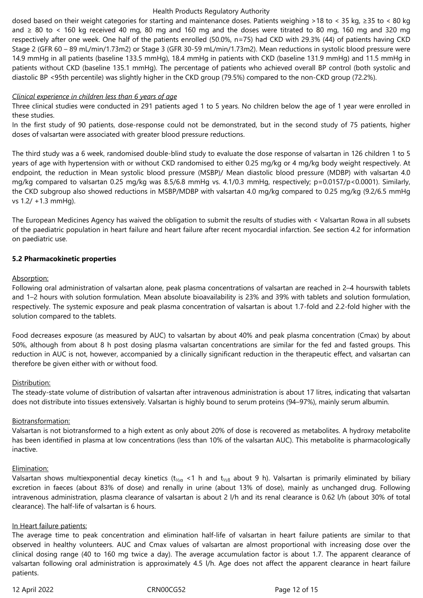dosed based on their weight categories for starting and maintenance doses. Patients weighing >18 to < 35 kg, ≥35 to < 80 kg and ≥ 80 to < 160 kg received 40 mg, 80 mg and 160 mg and the doses were titrated to 80 mg, 160 mg and 320 mg respectively after one week. One half of the patients enrolled (50.0%, n=75) had CKD with 29.3% (44) of patients having CKD Stage 2 (GFR 60 – 89 mL/min/1.73m2) or Stage 3 (GFR 30-59 mL/min/1.73m2). Mean reductions in systolic blood pressure were 14.9 mmHg in all patients (baseline 133.5 mmHg), 18.4 mmHg in patients with CKD (baseline 131.9 mmHg) and 11.5 mmHg in patients without CKD (baseline 135.1 mmHg). The percentage of patients who achieved overall BP control (both systolic and diastolic BP <95th percentile) was slightly higher in the CKD group (79.5%) compared to the non-CKD group (72.2%).

#### *Clinical experience in children less than 6 years of age*

Three clinical studies were conducted in 291 patients aged 1 to 5 years. No children below the age of 1 year were enrolled in these studies.

In the first study of 90 patients, dose-response could not be demonstrated, but in the second study of 75 patients, higher doses of valsartan were associated with greater blood pressure reductions.

The third study was a 6 week, randomised double-blind study to evaluate the dose response of valsartan in 126 children 1 to 5 years of age with hypertension with or without CKD randomised to either 0.25 mg/kg or 4 mg/kg body weight respectively. At endpoint, the reduction in Mean systolic blood pressure (MSBP)/ Mean diastolic blood pressure (MDBP) with valsartan 4.0 mg/kg compared to valsartan 0.25 mg/kg was 8.5/6.8 mmHg vs. 4.1/0.3 mmHg, respectively; p=0.0157/p<0.0001). Similarly, the CKD subgroup also showed reductions in MSBP/MDBP with valsartan 4.0 mg/kg compared to 0.25 mg/kg (9.2/6.5 mmHg vs 1.2/ +1.3 mmHg).

The European Medicines Agency has waived the obligation to submit the results of studies with < Valsartan Rowa in all subsets of the paediatric population in heart failure and heart failure after recent myocardial infarction. See section 4.2 for information on paediatric use.

#### **5.2 Pharmacokinetic properties**

#### Absorption:

Following oral administration of valsartan alone, peak plasma concentrations of valsartan are reached in 2–4 hourswith tablets and 1–2 hours with solution formulation. Mean absolute bioavailability is 23% and 39% with tablets and solution formulation, respectively. The systemic exposure and peak plasma concentration of valsartan is about 1.7-fold and 2.2-fold higher with the solution compared to the tablets.

Food decreases exposure (as measured by AUC) to valsartan by about 40% and peak plasma concentration (Cmax) by about 50%, although from about 8 h post dosing plasma valsartan concentrations are similar for the fed and fasted groups. This reduction in AUC is not, however, accompanied by a clinically significant reduction in the therapeutic effect, and valsartan can therefore be given either with or without food.

#### Distribution:

The steady-state volume of distribution of valsartan after intravenous administration is about 17 litres, indicating that valsartan does not distribute into tissues extensively. Valsartan is highly bound to serum proteins (94–97%), mainly serum albumin.

#### Biotransformation:

Valsartan is not biotransformed to a high extent as only about 20% of dose is recovered as metabolites. A hydroxy metabolite has been identified in plasma at low concentrations (less than 10% of the valsartan AUC). This metabolite is pharmacologically inactive.

#### Elimination:

Valsartan shows multiexponential decay kinetics ( $t_{\frac{1}{2}a}$  <1 h and  $t_{\frac{1}{2}b}$  about 9 h). Valsartan is primarily eliminated by biliary excretion in faeces (about 83% of dose) and renally in urine (about 13% of dose), mainly as unchanged drug. Following intravenous administration, plasma clearance of valsartan is about 2 l/h and its renal clearance is 0.62 l/h (about 30% of total clearance). The half-life of valsartan is 6 hours.

#### In Heart failure patients:

The average time to peak concentration and elimination half-life of valsartan in heart failure patients are similar to that observed in healthy volunteers. AUC and Cmax values of valsartan are almost proportional with increasing dose over the clinical dosing range (40 to 160 mg twice a day). The average accumulation factor is about 1.7. The apparent clearance of valsartan following oral administration is approximately 4.5 l/h. Age does not affect the apparent clearance in heart failure patients.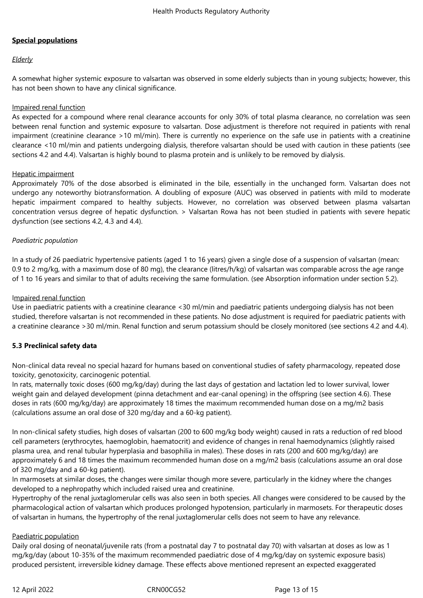# **Special populations**

# *Elderly*

A somewhat higher systemic exposure to valsartan was observed in some elderly subjects than in young subjects; however, this has not been shown to have any clinical significance.

## Impaired renal function

As expected for a compound where renal clearance accounts for only 30% of total plasma clearance, no correlation was seen between renal function and systemic exposure to valsartan. Dose adjustment is therefore not required in patients with renal impairment (creatinine clearance >10 ml/min). There is currently no experience on the safe use in patients with a creatinine clearance <10 ml/min and patients undergoing dialysis, therefore valsartan should be used with caution in these patients (see sections 4.2 and 4.4). Valsartan is highly bound to plasma protein and is unlikely to be removed by dialysis.

#### Hepatic impairment

Approximately 70% of the dose absorbed is eliminated in the bile, essentially in the unchanged form. Valsartan does not undergo any noteworthy biotransformation. A doubling of exposure (AUC) was observed in patients with mild to moderate hepatic impairment compared to healthy subjects. However, no correlation was observed between plasma valsartan concentration versus degree of hepatic dysfunction. > Valsartan Rowa has not been studied in patients with severe hepatic dysfunction (see sections 4.2, 4.3 and 4.4).

# *Paediatric population*

In a study of 26 paediatric hypertensive patients (aged 1 to 16 years) given a single dose of a suspension of valsartan (mean: 0.9 to 2 mg/kg, with a maximum dose of 80 mg), the clearance (litres/h/kg) of valsartan was comparable across the age range of 1 to 16 years and similar to that of adults receiving the same formulation. (see Absorption information under section 5.2).

## Impaired renal function

Use in paediatric patients with a creatinine clearance <30 ml/min and paediatric patients undergoing dialysis has not been studied, therefore valsartan is not recommended in these patients. No dose adjustment is required for paediatric patients with a creatinine clearance >30 ml/min. Renal function and serum potassium should be closely monitored (see sections 4.2 and 4.4).

# **5.3 Preclinical safety data**

Non-clinical data reveal no special hazard for humans based on conventional studies of safety pharmacology, repeated dose toxicity, genotoxicity, carcinogenic potential.

In rats, maternally toxic doses (600 mg/kg/day) during the last days of gestation and lactation led to lower survival, lower weight gain and delayed development (pinna detachment and ear-canal opening) in the offspring (see section 4.6). These doses in rats (600 mg/kg/day) are approximately 18 times the maximum recommended human dose on a mg/m2 basis (calculations assume an oral dose of 320 mg/day and a 60-kg patient).

In non-clinical safety studies, high doses of valsartan (200 to 600 mg/kg body weight) caused in rats a reduction of red blood cell parameters (erythrocytes, haemoglobin, haematocrit) and evidence of changes in renal haemodynamics (slightly raised plasma urea, and renal tubular hyperplasia and basophilia in males). These doses in rats (200 and 600 mg/kg/day) are approximately 6 and 18 times the maximum recommended human dose on a mg/m2 basis (calculations assume an oral dose of 320 mg/day and a 60-kg patient).

In marmosets at similar doses, the changes were similar though more severe, particularly in the kidney where the changes developed to a nephropathy which included raised urea and creatinine.

Hypertrophy of the renal juxtaglomerular cells was also seen in both species. All changes were considered to be caused by the pharmacological action of valsartan which produces prolonged hypotension, particularly in marmosets. For therapeutic doses of valsartan in humans, the hypertrophy of the renal juxtaglomerular cells does not seem to have any relevance.

#### Paediatric population

Daily oral dosing of neonatal/juvenile rats (from a postnatal day 7 to postnatal day 70) with valsartan at doses as low as 1 mg/kg/day (about 10-35% of the maximum recommended paediatric dose of 4 mg/kg/day on systemic exposure basis) produced persistent, irreversible kidney damage. These effects above mentioned represent an expected exaggerated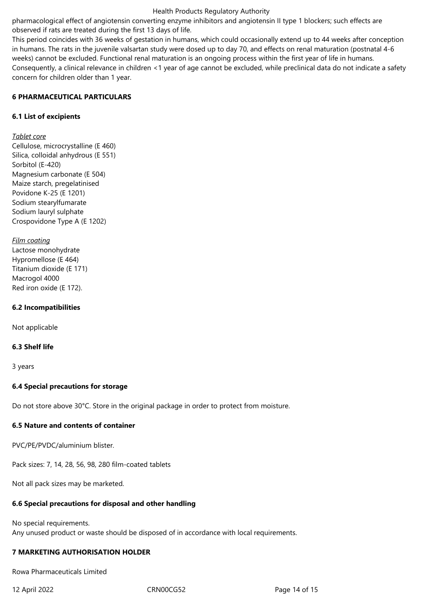pharmacological effect of angiotensin converting enzyme inhibitors and angiotensin II type 1 blockers; such effects are observed if rats are treated during the first 13 days of life.

This period coincides with 36 weeks of gestation in humans, which could occasionally extend up to 44 weeks after conception in humans. The rats in the juvenile valsartan study were dosed up to day 70, and effects on renal maturation (postnatal 4-6 weeks) cannot be excluded. Functional renal maturation is an ongoing process within the first year of life in humans. Consequently, a clinical relevance in children <1 year of age cannot be excluded, while preclinical data do not indicate a safety concern for children older than 1 year.

# **6 PHARMACEUTICAL PARTICULARS**

## **6.1 List of excipients**

# *Tablet core*

Cellulose, microcrystalline (E 460) Silica, colloidal anhydrous (E 551) Sorbitol (E-420) Magnesium carbonate (E 504) Maize starch, pregelatinised Povidone K-25 (E 1201) Sodium stearylfumarate Sodium lauryl sulphate Crospovidone Type A (E 1202)

*Film coating* Lactose monohydrate Hypromellose (E 464) Titanium dioxide (E 171) Macrogol 4000 Red iron oxide (E 172).

#### **6.2 Incompatibilities**

Not applicable

#### **6.3 Shelf life**

3 years

#### **6.4 Special precautions for storage**

Do not store above 30°C. Store in the original package in order to protect from moisture.

#### **6.5 Nature and contents of container**

PVC/PE/PVDC/aluminium blister.

Pack sizes: 7, 14, 28, 56, 98, 280 film-coated tablets

Not all pack sizes may be marketed.

#### **6.6 Special precautions for disposal and other handling**

No special requirements. Any unused product or waste should be disposed of in accordance with local requirements.

#### **7 MARKETING AUTHORISATION HOLDER**

Rowa Pharmaceuticals Limited